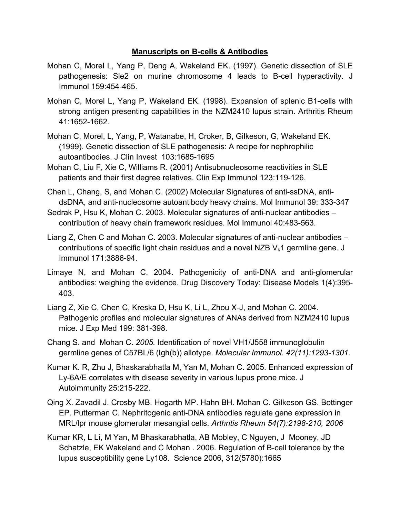## **Manuscripts on B-cells & Antibodies**

- Mohan C, Morel L, Yang P, Deng A, Wakeland EK. (1997). Genetic dissection of SLE pathogenesis: Sle2 on murine chromosome 4 leads to B-cell hyperactivity. J Immunol 159:454-465.
- Mohan C, Morel L, Yang P, Wakeland EK. (1998). Expansion of splenic B1-cells with strong antigen presenting capabilities in the NZM2410 lupus strain. Arthritis Rheum 41:1652-1662.
- Mohan C, Morel, L, Yang, P, Watanabe, H, Croker, B, Gilkeson, G, Wakeland EK. (1999). Genetic dissection of SLE pathogenesis: A recipe for nephrophilic autoantibodies. J Clin Invest 103:1685-1695
- Mohan C, Liu F, Xie C, Williams R. (2001) Antisubnucleosome reactivities in SLE patients and their first degree relatives. Clin Exp Immunol 123:119-126.
- Chen L, Chang, S, and Mohan C. (2002) Molecular Signatures of anti-ssDNA, antidsDNA, and anti-nucleosome autoantibody heavy chains. Mol Immunol 39: 333-347
- Sedrak P, Hsu K, Mohan C. 2003. Molecular signatures of anti-nuclear antibodies contribution of heavy chain framework residues. Mol Immunol 40:483-563.
- Liang Z, Chen C and Mohan C. 2003. Molecular signatures of anti-nuclear antibodies contributions of specific light chain residues and a novel NZB  $V_k1$  germline gene. J Immunol 171:3886-94.
- Limaye N, and Mohan C. 2004. Pathogenicity of anti-DNA and anti-glomerular antibodies: weighing the evidence. Drug Discovery Today: Disease Models 1(4):395- 403.
- Liang Z, Xie C, Chen C, Kreska D, Hsu K, Li L, Zhou X-J, and Mohan C. 2004. Pathogenic profiles and molecular signatures of ANAs derived from NZM2410 lupus mice. J Exp Med 199: 381-398.
- Chang S. and Mohan C. *2005.* Identification of novel VH1/J558 immunoglobulin germline genes of C57BL/6 (Igh(b)) allotype. *Molecular Immunol. 42(11):1293-1301.*
- Kumar K. R, Zhu J, Bhaskarabhatla M, Yan M, Mohan C. 2005. Enhanced expression of Ly-6A/E correlates with disease severity in various lupus prone mice. J Autoimmunity 25:215-222.
- Qing X. Zavadil J. Crosby MB. Hogarth MP. Hahn BH. Mohan C. Gilkeson GS. Bottinger EP. Putterman C. Nephritogenic anti-DNA antibodies regulate gene expression in MRL/lpr mouse glomerular mesangial cells. *Arthritis Rheum 54(7):2198-210, 2006*
- Kumar KR, L Li, M Yan, M Bhaskarabhatla, AB Mobley, C Nguyen, J Mooney, JD Schatzle, EK Wakeland and C Mohan . 2006. Regulation of B-cell tolerance by the lupus susceptibility gene Ly108. Science 2006, 312(5780):1665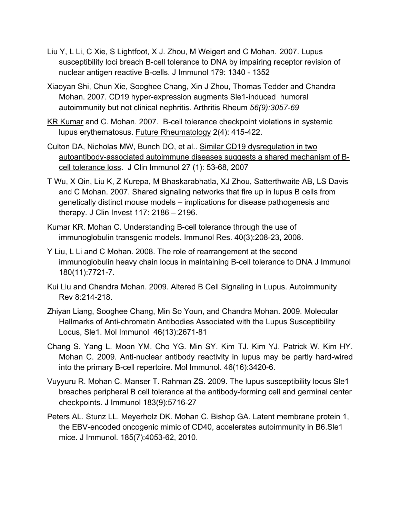- Liu Y, L Li, C Xie, S Lightfoot, X J. Zhou, M Weigert and C Mohan. 2007. Lupus susceptibility loci breach B-cell tolerance to DNA by impairing receptor revision of nuclear antigen reactive B-cells. J Immunol 179: 1340 - 1352
- Xiaoyan Shi, Chun Xie, Sooghee Chang, Xin J Zhou, Thomas Tedder and Chandra Mohan. 2007. CD19 hyper-expression augments Sle1-induced humoral autoimmunity but not clinical nephritis. Arthritis Rheum *56(9):3057-69*
- KR Kumar and C. Mohan. 2007. B-cell tolerance checkpoint violations in systemic lupus erythematosus. Future Rheumatology 2(4): 415-422.
- Culton DA, Nicholas MW, Bunch DO, et al.. Similar CD19 dysregulation in two autoantibody-associated autoimmune diseases suggests a shared mechanism of Bcell tolerance loss. J Clin Immunol 27 (1): 53-68, 2007
- T Wu, X Qin, Liu K, Z Kurepa, M Bhaskarabhatla, XJ Zhou, Satterthwaite AB, LS Davis and C Mohan. 2007. Shared signaling networks that fire up in lupus B cells from genetically distinct mouse models – implications for disease pathogenesis and therapy. J Clin Invest 117: 2186 – 2196.
- Kumar KR. Mohan C. Understanding B-cell tolerance through the use of immunoglobulin transgenic models. Immunol Res. 40(3):208-23, 2008.
- Y Liu, L Li and C Mohan. 2008. The role of rearrangement at the second immunoglobulin heavy chain locus in maintaining B-cell tolerance to DNA J Immunol 180(11):7721-7.
- Kui Liu and Chandra Mohan. 2009. Altered B Cell Signaling in Lupus. Autoimmunity Rev 8:214-218.
- Zhiyan Liang, Sooghee Chang, Min So Youn, and Chandra Mohan. 2009. Molecular Hallmarks of Anti-chromatin Antibodies Associated with the Lupus Susceptibility Locus, Sle1. Mol Immunol 46(13):2671-81
- Chang S. Yang L. Moon YM. Cho YG. Min SY. Kim TJ. Kim YJ. Patrick W. Kim HY. Mohan C. 2009. Anti-nuclear antibody reactivity in lupus may be partly hard-wired into the primary B-cell repertoire. Mol Immunol. 46(16):3420-6.
- Vuyyuru R. Mohan C. Manser T. Rahman ZS. 2009. The lupus susceptibility locus Sle1 breaches peripheral B cell tolerance at the antibody-forming cell and germinal center checkpoints. J Immunol 183(9):5716-27
- Peters AL. Stunz LL. Meyerholz DK. Mohan C. Bishop GA. Latent membrane protein 1, the EBV-encoded oncogenic mimic of CD40, accelerates autoimmunity in B6.Sle1 mice. J Immunol. 185(7):4053-62, 2010.